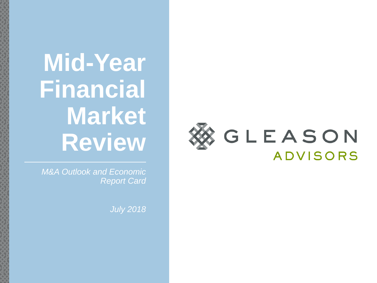# **Mid-Year Financial Market Review**

*M&A Outlook and Economic Report Card*

*July 2018*

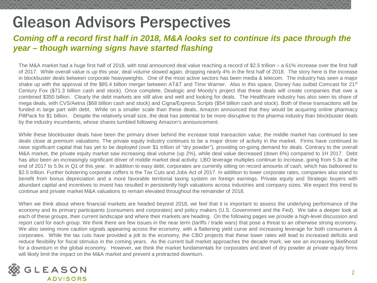## Gleason Advisors Perspectives

## *Coming off a record first half in 2018, M&A looks set to continue its pace through the year – though warning signs have started flashing*

The M&A market had a huge first half of 2018, with total announced deal value reaching a record of \$2.5 trillion – a 61% increase over the first half of 2017. While overall value is up this year, deal volume slowed again, dropping nearly 4% in the first half of 2018. The story here is the increase in blockbuster deals between corporate heavyweights. One of the most active sectors has been media & telecom. The industry has seen a major shake up with the approval of the \$85.4 billion merger between AT&T and Time Warner. Also in this space, Disney has outbid Comcast for 21<sup>st</sup> Century Fox (\$71.3 billion cash and stock). Once complete, Dealogic and Moody's project that these deals will create companies that owe a combined \$350 billion. Clearly the debt markets are still alive and well and looking for deals. The Healthcare industry has also seen its share of mega deals, with CVS/Aetna (\$68 billion cash and stock) and Cigna/Express Scripts (\$54 billion cash and stock). Both of these transactions will be funded in large part with debt. While on a smaller scale than these deals, Amazon announced that they would be acquiring online pharmacy PillPack for \$1 billion. Despite the relatively small size, the deal has potential to be more disruptive to the pharma industry than blockbuster deals by the industry incumbents, whose shares tumbled following Amazon's announcement.

While these blockbuster deals have been the primary driver behind the increase total transaction value, the middle market has continued to see deals close at premium valuations. The private equity industry continues to be a major driver of activity in the market. Firms have continued to raise significant capital that has yet to be deployed (over \$1 trillion of "dry powder"), providing on-going demand for deals. Contrary to the overall M&A market, the private equity market saw increasing deal volume (up 2%), while deal value decreased (down 6%) compared to 1H 2017. Debt has also been an increasingly significant driver of middle market deal activity. LBO leverage multiples continue to increase, going from 5.3x at the end of 2017 to 5.9x in Q1 of this year. In addition to easy debt, corporates are currently sitting on record amounts of cash, which has ballooned to \$2.5 trillion. Further bolstering corporate coffers is the Tax Cuts and Jobs Act of 2017. In addition to lower corporate rates, companies also stand to benefit from bonus depreciation and a more favorable territorial taxing system on foreign earnings. Private equity and Strategic buyers with abundant capital and incentives to invest has resulted in persistently high valuations across industries and company sizes. We expect this trend to continue and private market M&A valuations to remain elevated throughout the remainder of 2018.

When we think about where financial markets are headed beyond 2018, we feel that it is important to assess the underlying performance of the economy and its primary participants (consumers and corporates) and policy makers (U.S. Government and the Fed). We take a deeper look at each of these groups, their current landscape and where their markets are heading. On the following pages we provide a high-level discussion and report card for each group. We think there are few issues in the near term (tariffs / trade wars) that pose a threat to an otherwise strong economy. We also seeing more caution signals appearing across the economy, with a flattening yield curve and increasing leverage for both consumers & corporates. While the tax cuts have provided a jolt to the economy, the CBO projects that these lower rates will lead to increased deficits and reduce flexibility for fiscal stimulus in the coming years. As the current bull market approaches the decade mark, we see an increasing likelihood for a downturn in the global economy. However, we think the market fundamentals for corporates and level of dry powder at private equity firms will likely limit the impact on the M&A market and prevent a protracted downturn.

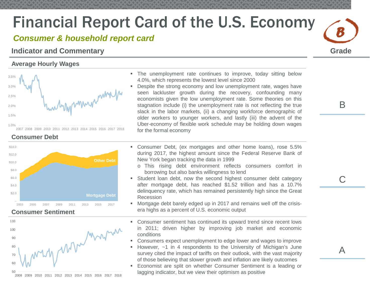## *Consumer & household report card*

## **Indicator and Commentary**

### **Average Hourly Wages**



**Consumer Debt** 



### **Consumer Sentiment**



- The unemployment rate continues to improve, today sitting below 4.0%, which represents the lowest level since 2000
- **Despite the strong economy and low unemployment rate, wages have** seen lackluster growth during the recovery, confounding many economists given the low unemployment rate. Some theories on this stagnation include (i) the unemployment rate is not reflecting the true slack in the labor markets, (ii) a changing workforce demographic of older workers to younger workers, and lastly (iii) the advent of the Uber-economy of flexible work schedule may be holding down wages for the formal economy
- Consumer Debt, (ex mortgages and other home loans), rose 5.5% during 2017, the highest amount since the Federal Reserve Bank of New York began tracking the data in 1999
	- o This rising debt environment reflects consumers comfort in borrowing but also banks willingness to lend
- Student loan debt, now the second highest consumer debt category after mortgage debt, has reached \$1.52 trillion and has a 10.7% delinquency rate, which has remained persistently high since the Great Recession
- Mortgage debt barely edged up in 2017 and remains well off the crisisera highs as a percent of U.S. economic output
- Consumer sentiment has continued its upward trend since recent lows in 2011; driven higher by improving job market and economic conditions
- Consumers expect unemployment to edge lower and wages to improve
- However, ~1 in 4 respondents to the University of Michigan's June survey cited the impact of tariffs on their outlook, with the vast majority of those believing that slower growth and inflation are likely outcomes
- Economist are split on whether Consumer Sentiment is a leading or lagging indicator, but we view their optimism as positive

B

**Grade**

*B*

 $\mathsf C$ 

A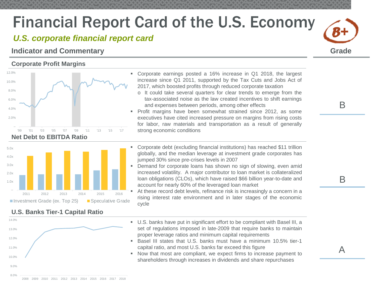## *U.S. corporate financial report card*

## **Indicator and Commentary Grade**

### **Corporate Profit Margins**





## **U.S. Banks Tier-1 Capital Ratio**



- Corporate earnings posted a 16% increase in Q1 2018, the largest increase since Q1 2011, supported by the Tax Cuts and Jobs Act of 2017, which boosted profits through reduced corporate taxation
	- o It could take several quarters for clear trends to emerge from the tax-associated noise as the law created incentives to shift earnings and expenses between periods, among other effects
- **Profit margins have been somewhat strained since 2012, as some** executives have cited increased pressure on margins from rising costs for labor, raw materials and transportation as a result of generally strong economic conditions
- Corporate debt (excluding financial institutions) has reached \$11 trillion globally, and the median leverage at investment grade corporates has jumped 30% since pre-crises levels in 2007
- **Demand for corporate loans has shown no sign of slowing, even amid** increased volatility. A major contributor to loan market is collateralized loan obligations (CLOs), which have raised \$66 billion year-to-date and account for nearly 60% of the leveraged loan market

 At these record debt levels, refinance risk is increasingly a concern in a rising interest rate environment and in later stages of the economic cycle

- U.S. banks have put in significant effort to be compliant with Basel III, a set of regulations imposed in late-2009 that require banks to maintain proper leverage ratios and minimum capital requirements
- Basel III states that U.S. banks must have a minimum 10.5% tier-1 capital ratio, and most U.S. banks far exceed this figure
- Now that most are compliant, we expect firms to increase payment to shareholders through increases in dividends and share repurchases

B

*B+*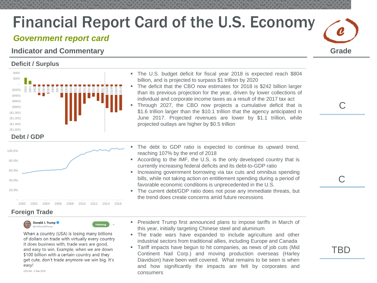## *Government report card*

## **Indicator and Commentary Grade**

### **Deficit / Surplus**



- The U.S. budget deficit for fiscal year 2018 is expected reach \$804 billion, and is projected to surpass \$1 trillion by 2020 The deficit that the CBO now estimates for 2018 is \$242 billion larger than its previous projection for the year, driven by lower collections of
- individual and corporate income taxes as a result of the 2017 tax act Through 2027, the CBO now projects a cumulative deficit that is \$1.6 trillion larger than the \$10.1 trillion that the agency anticipated in June 2017. Projected revenues are lower by \$1.1 trillion, while
- 20.0% 40.0% 60.0% 80.0% 100.0% 2000 2002 2004 2006 2008 2010 2012 2014 2016

### **Foreign Trade**

Donald J. Trump ealDonaldTrume

When a country (USA) is losing many billions of dollars on trade with virtually every country it does business with, trade wars are good, and easy to win. Example, when we are down \$100 billion with a certain country and they get cute, don't trade anymore-we win big. It's easy!

2:50 AM - 2 Mar 2018

- The debt to GDP ratio is expected to continue its upward trend, reaching 107% by the end of 2018
- According to the IMF, the U.S. is the only developed country that is currently increasing federal deficits and its debt-to-GDP ratio
- **Increasing government borrowing via tax cuts and omnibus spending** bills, while not taking action on entitlement spending during a period of favorable economic conditions is unprecedented in the U.S.
- The current debt/GDP ratio does not pose any immediate threats, but the trend does create concerns amid future recessions
- **President Trump first announced plans to impose tariffs in March of** this year, initially targeting Chinese steel and aluminum
- The trade wars have expanded to include agriculture and other industrial sectors from traditional allies, including Europe and Canada
- Tariff impacts have begun to hit companies, as news of job cuts (Mid Continent Nail Corp.) and moving production overseas (Harley Davidson) have been well covered. What remains to be seen is when and how significantly the impacts are felt by corporates and consumers



 $\bigcap$ 

C

TBD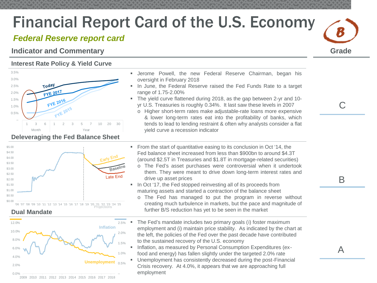## *Federal Reserve report card*

## **Indicator and Commentary Grade**

### **Interest Rate Policy & Yield Curve**



\$5.00  $$4.50$ Early End \$4.00 \$3.50 **Baseline** \$3.00  $$2.50$ Late End \$2.00 \$1.50 \$1.00 \$0.50 \$0.00

#### '06 '07 '08 '09 '10 '11 '12 '13 '14 '15 '16 '17 '18 '19 '20 21 '22 '23 '24 '25





- Jerome Powell, the new Federal Reserve Chairman, began his oversight in February 2018
- **In June, the Federal Reserve raised the Fed Funds Rate to a target** range of 1.75-2.00%
- The yield curve flattened during 2018, as the gap between 2-yr and 10 yr U.S. Treasuries is roughly 0.34%. It last saw these levels in 2007
	- o Higher short-term rates make adjustable-rate loans more expensive & lower long-term rates eat into the profitability of banks, which tends to lead to lending restraint & often why analysts consider a flat yield curve a recession indicator

• From the start of quantitative easing to its conclusion in Oct '14, the Fed balance sheet increased from less than \$900bn to around \$4.3T (around \$2.5T in Treasuries and \$1.8T in mortgage-related securities)

- o The Fed's asset purchases were controversial when it undertook them. They were meant to drive down long-term interest rates and drive up asset prices
- In Oct '17, the Fed stopped reinvesting all of its proceeds from maturing assets and started a contraction of the balance sheet
	- o The Fed has managed to put the program in reverse without creating much turbulence in markets, but the pace and magnitude of further B/S reduction has yet to be seen in the market
- The Fed's mandate includes two primary goals (i) foster maximum employment and (i) maintain price stability. As indicated by the chart at the left, the policies of the Fed over the past decade have contributed to the sustained recovery of the U.S. economy
- **Inflation, as measured by Personal Consumption Expenditures (ex**food and energy) has fallen slightly under the targeted 2.0% rate

 Unemployment has consistently decreased during the post-Financial Crisis recovery. At 4.0%, it appears that we are approaching full employment

 $\bigcap$ 

*B*

A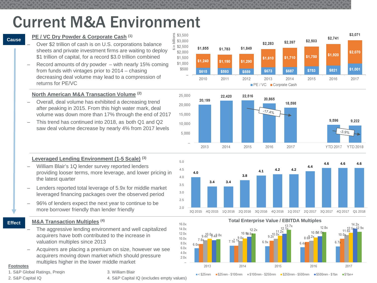## Current M&A Environment

 $\varTheta$ in billions

#### **Cause**

#### **PE / VC Dry Powder & Corporate Cash (1)**

- Over \$2 trillion of cash is on U.S. corporations balance sheets and private investment firms are waiting to deploy \$1 trillion of capital, for a record \$3.0 trillion combined
- Record amounts of dry powder  $-$  with nearly 15% coming from funds with vintages prior to 2014 – chasing decreasing deal volume may lead to a compression of returns for PE/VC

#### **North American M&A Transaction Volume (2)**

- Overall, deal volume has exhibited a decreasing trend after peaking in 2015. From this high water mark, deal volume was down more than 17% through the end of 2017
- This trend has continued into 2018, as both Q1 and Q2 saw deal volume decrease by nearly 4% from 2017 levels

#### **Leveraged Lending Environment (1-5 Scale) (3)**

- William Blair's 1Q lender survey reported lenders providing looser terms, more leverage, and lower pricing in the latest quarter
- Lenders reported total leverage of 5.9x for middle market leveraged financing packages over the observed period
- 96% of lenders expect the next year to continue to be more borrower friendly than lender friendly

#### **Effect M&A Transaction Multiples (4)**

- The aggressive lending environment and well capitalized acquirers have both contributed to the increase in valuation multiples since 2013
- Acquirers are placing a premium on size, however we see acquirers moving down market which should pressure multiples higher in the lower middle market

#### **Footnotes**

1. S&P Global Ratings, Preqin 2. S&P Capital IQ

#### 3. William Blair

4. S&P Capital IQ (excludes empty values)







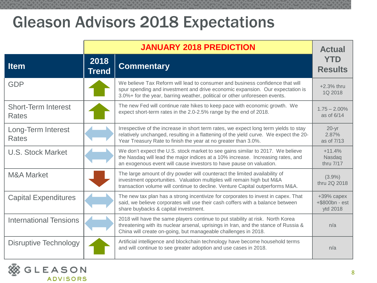## Gleason Advisors 2018 Expectations

|                                            | <b>JANUARY 2018 PREDICTION</b> |                                                                                                                                                                                                                                                 | <b>Actual</b>                            |
|--------------------------------------------|--------------------------------|-------------------------------------------------------------------------------------------------------------------------------------------------------------------------------------------------------------------------------------------------|------------------------------------------|
| <b>Item</b>                                | 2018<br><b>Trend</b>           | <b>Commentary</b>                                                                                                                                                                                                                               | <b>YTD</b><br><b>Results</b>             |
| <b>GDP</b>                                 |                                | We believe Tax Reform will lead to consumer and business confidence that will<br>spur spending and investment and drive economic expansion. Our expectation is<br>3.0%+ for the year, barring weather, political or other unforeseen events.    | +2.3% thru<br>1Q 2018                    |
| <b>Short-Term Interest</b><br><b>Rates</b> |                                | The new Fed will continue rate hikes to keep pace with economic growth. We<br>expect short-term rates in the 2.0-2.5% range by the end of 2018.                                                                                                 | $1.75 - 2.00\%$<br>as of 6/14            |
| Long-Term Interest<br><b>Rates</b>         |                                | Irrespective of the increase in short term rates, we expect long term yields to stay<br>relatively unchanged, resulting in a flattening of the yield curve. We expect the 20-<br>Year Treasury Rate to finish the year at no greater than 3.0%. | $20 - yr$<br>2.87%<br>as of 7/13         |
| <b>U.S. Stock Market</b>                   |                                | We don't expect the U.S. stock market to see gains similar to 2017. We believe<br>the Nasdaq will lead the major indices at a 10% increase. Increasing rates, and<br>an exogenous event will cause investors to have pause on valuation.        | $+11.4%$<br>Nasdaq<br>thru 7/17          |
| <b>M&amp;A Market</b>                      |                                | The large amount of dry powder will counteract the limited availability of<br>investment opportunities. Valuation multiples will remain high but M&A<br>transaction volume will continue to decline. Venture Capital outperforms M&A.           | $(3.9\%)$<br>thru 2Q 2018                |
| <b>Capital Expenditures</b>                |                                | The new tax plan has a strong incentivize for corporates to invest in capex. That<br>said, we believe corporates will use their cash coffers with a balance between<br>share buybacks & capital investment.                                     | +39% capex<br>+\$800bn - est<br>ytd 2018 |
| <b>International Tensions</b>              |                                | 2018 will have the same players continue to put stability at risk. North Korea<br>threatening with its nuclear arsenal, uprisings in Iran, and the stance of Russia &<br>China will create on-going, but manageable challenges in 2018.         | n/a                                      |
| Disruptive Technology                      |                                | Artificial intelligence and blockchain technology have become household terms<br>and will continue to see greater adoption and use cases in 2018.                                                                                               | n/a                                      |

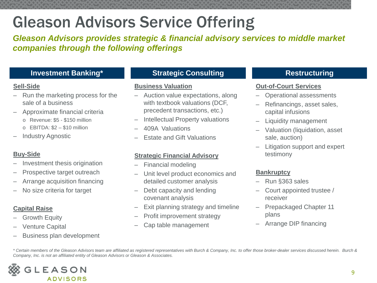## Gleason Advisors Service Offering

*Gleason Advisors provides strategic & financial advisory services to middle market companies through the following offerings* 

## **Investment Banking\***

### **Sell-Side**

- Run the marketing process for the sale of a business
- Approximate financial criteria
	- o Revenue: \$5 \$150 million
	- $\circ$  EBITDA:  $$2 $10$  million
- Industry Agnostic

## **Buy-Side**

- Investment thesis origination
- Prospective target outreach
- Arrange acquisition financing
- No size criteria for target

## **Capital Raise**

- Growth Equity
- Venture Capital
- Business plan development

## **Strategic Consulting**

### **Business Valuation**

- Auction value expectations, along with textbook valuations (DCF, precedent transactions, etc.)
- Intellectual Property valuations
- 409A Valuations
- Estate and Gift Valuations

## **Strategic Financial Advisory**

- Financial modeling
- Unit level product economics and detailed customer analysis
- Debt capacity and lending covenant analysis
- Exit planning strategy and timeline
- Profit improvement strategy
- Cap table management

## **Restructuring**

### **Out-of-Court Services**

- Operational assessments
- Refinancings, asset sales, capital infusions
- Liquidity management
- Valuation (liquidation, asset sale, auction)
- Litigation support and expert testimony

## **Bankruptcy**

- Run §363 sales
- Court appointed trustee / receiver
- Prepackaged Chapter 11 plans
- Arrange DIP financing

*\* Certain members of the Gleason Advisors team are affiliated as registered representatives with Burch & Company, Inc. to offer those broker-dealer services discussed herein. Burch & Company, Inc. is not an affiliated entity of Gleason Advisors or Gleason & Associates.*